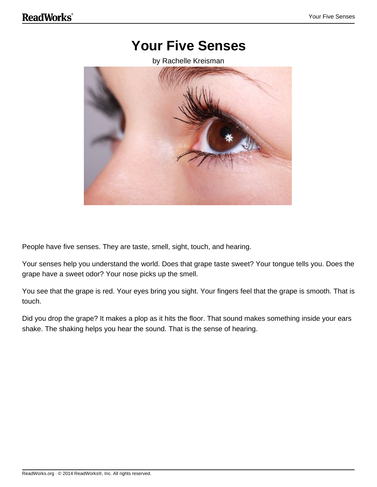### **Your Five Senses**

by Rachelle Kreisman



People have five senses. They are taste, smell, sight, touch, and hearing.

Your senses help you understand the world. Does that grape taste sweet? Your tongue tells you. Does the grape have a sweet odor? Your nose picks up the smell.

You see that the grape is red. Your eyes bring you sight. Your fingers feel that the grape is smooth. That is touch.

Did you drop the grape? It makes a plop as it hits the floor. That sound makes something inside your ears shake. The shaking helps you hear the sound. That is the sense of hearing.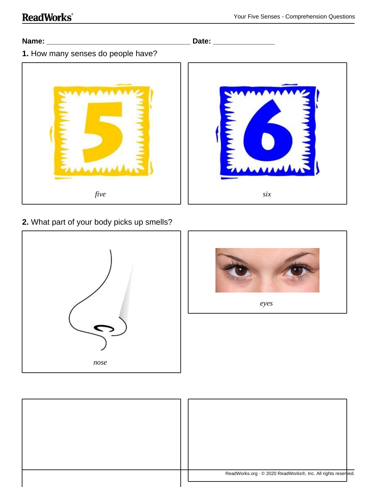#### **Name: \_\_\_\_\_\_\_\_\_\_\_\_\_\_\_\_\_\_\_\_\_\_\_\_\_\_\_\_\_\_\_\_\_\_\_ Date: \_\_\_\_\_\_\_\_\_\_\_\_\_\_\_**

**1.** How many senses do people have?



#### **2.** What part of your body picks up smells?





*eyes*

| ReadWorks.org · © 2020 ReadWorks®, Inc. All rights reserved. |
|--------------------------------------------------------------|
|                                                              |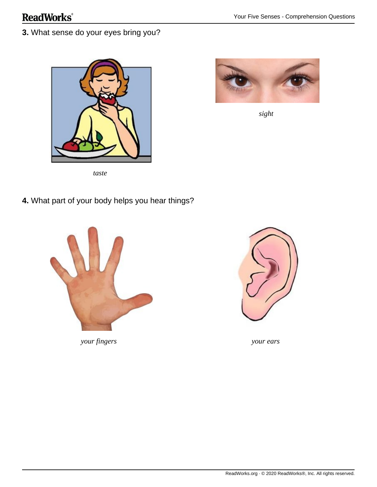**3.** What sense do your eyes bring you?





*sight*

**4.** What part of your body helps you hear things?



*your fingers your ears*

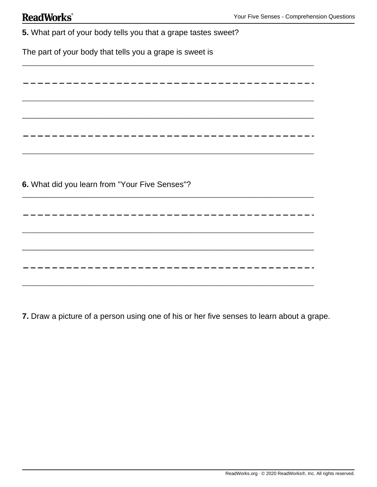| ReadWorks® |
|------------|
|------------|

| 5. What part of your body tells you that a grape tastes sweet? |
|----------------------------------------------------------------|
| The part of your body that tells you a grape is sweet is       |
|                                                                |
| -----------------------                                        |
|                                                                |
|                                                                |
|                                                                |
|                                                                |
| 6. What did you learn from "Your Five Senses"?                 |
|                                                                |
| --------------------------                                     |
|                                                                |
|                                                                |
|                                                                |
|                                                                |

**7.** Draw a picture of a person using one of his or her five senses to learn about a grape.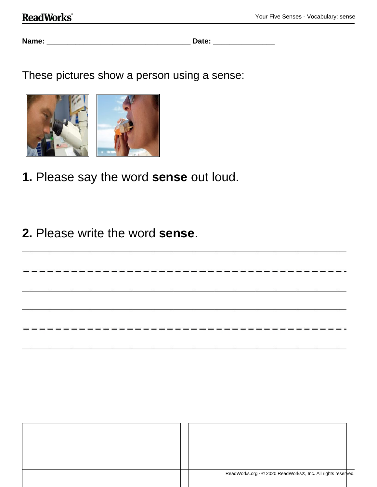### **ReadWorks**®

**Name: \_\_\_\_\_\_\_\_\_\_\_\_\_\_\_\_\_\_\_\_\_\_\_\_\_\_\_\_\_\_\_\_\_\_\_ Date: \_\_\_\_\_\_\_\_\_\_\_\_\_\_\_**

These pictures show a person using a sense:



- **1.** Please say the word **sense** out loud.
- **2.** Please write the word **sense**.

| ReadWorks.org · © 2020 ReadWorks®, Inc. All rights reserved. |  |
|--------------------------------------------------------------|--|

--------------------------------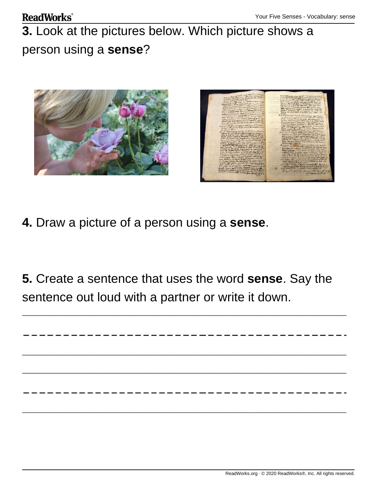#### **ReadWorks**®

# **3.** Look at the pictures below. Which picture shows a person using a **sense**?





- **4.** Draw a picture of a person using a **sense**.
- **5.** Create a sentence that uses the word **sense**. Say the sentence out loud with a partner or write it down.

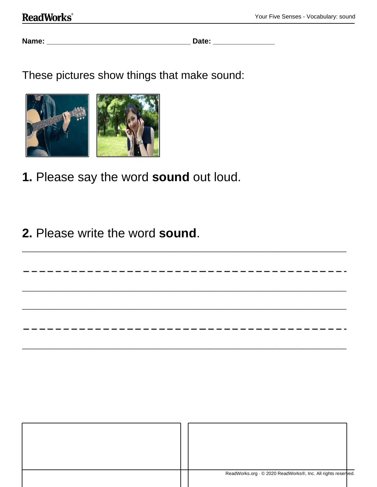**Name: \_\_\_\_\_\_\_\_\_\_\_\_\_\_\_\_\_\_\_\_\_\_\_\_\_\_\_\_\_\_\_\_\_\_\_ Date: \_\_\_\_\_\_\_\_\_\_\_\_\_\_\_**

------------

--------------------------------

These pictures show things that make sound:



- **1.** Please say the word **sound** out loud.
- **2.** Please write the word **sound**.

| ReadWorks.org · © 2020 ReadWorks®, Inc. All rights reserved. |  |
|--------------------------------------------------------------|--|
|                                                              |  |